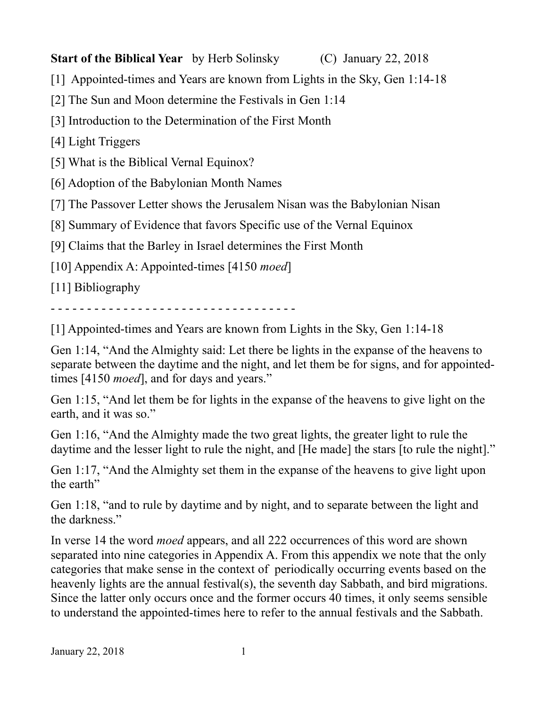## **Start of the Biblical Year** by Herb Solinsky (C) January 22, 2018

[1] Appointed-times and Years are known from Lights in the Sky, Gen 1:14-18

[2] The Sun and Moon determine the Festivals in Gen 1:14

[3] Introduction to the Determination of the First Month

[4] Light Triggers

[5] What is the Biblical Vernal Equinox?

[6] Adoption of the Babylonian Month Names

[7] The Passover Letter shows the Jerusalem Nisan was the Babylonian Nisan

[8] Summary of Evidence that favors Specific use of the Vernal Equinox

[9] Claims that the Barley in Israel determines the First Month

[10] Appendix A: Appointed-times [4150 *moed*]

[11] Bibliography

- - - - - - - - - - - - - - - - - - - - - - - - - - - - - - - - - -

[1] Appointed-times and Years are known from Lights in the Sky, Gen 1:14-18

Gen 1:14, "And the Almighty said: Let there be lights in the expanse of the heavens to separate between the daytime and the night, and let them be for signs, and for appointedtimes [4150 *moed*], and for days and years."

Gen 1:15, "And let them be for lights in the expanse of the heavens to give light on the earth, and it was so."

Gen 1:16, "And the Almighty made the two great lights, the greater light to rule the daytime and the lesser light to rule the night, and [He made] the stars [to rule the night]."

Gen 1:17, "And the Almighty set them in the expanse of the heavens to give light upon the earth"

Gen 1:18, "and to rule by daytime and by night, and to separate between the light and the darkness."

In verse 14 the word *moed* appears, and all 222 occurrences of this word are shown separated into nine categories in Appendix A. From this appendix we note that the only categories that make sense in the context of periodically occurring events based on the heavenly lights are the annual festival(s), the seventh day Sabbath, and bird migrations. Since the latter only occurs once and the former occurs 40 times, it only seems sensible to understand the appointed-times here to refer to the annual festivals and the Sabbath.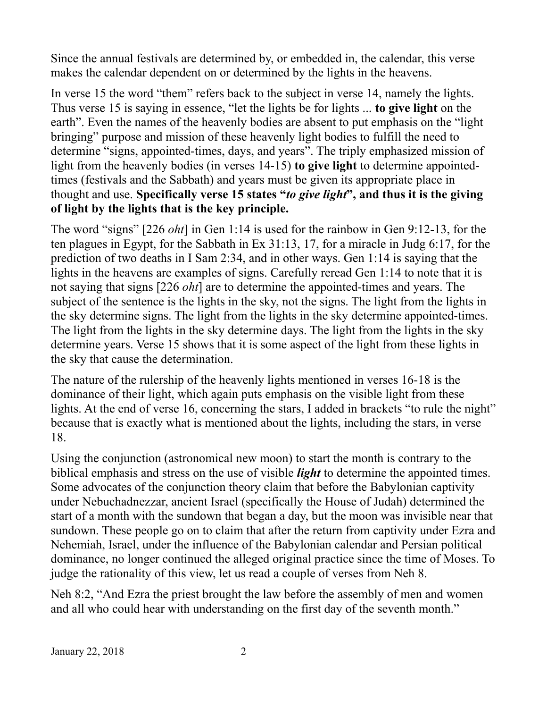Since the annual festivals are determined by, or embedded in, the calendar, this verse makes the calendar dependent on or determined by the lights in the heavens.

In verse 15 the word "them" refers back to the subject in verse 14, namely the lights. Thus verse 15 is saying in essence, "let the lights be for lights ... **to give light** on the earth". Even the names of the heavenly bodies are absent to put emphasis on the "light bringing" purpose and mission of these heavenly light bodies to fulfill the need to determine "signs, appointed-times, days, and years". The triply emphasized mission of light from the heavenly bodies (in verses 14-15) **to give light** to determine appointedtimes (festivals and the Sabbath) and years must be given its appropriate place in thought and use. **Specifically verse 15 states "***to give light***", and thus it is the giving of light by the lights that is the key principle.**

The word "signs" [226 *oht*] in Gen 1:14 is used for the rainbow in Gen 9:12-13, for the ten plagues in Egypt, for the Sabbath in Ex 31:13, 17, for a miracle in Judg 6:17, for the prediction of two deaths in I Sam 2:34, and in other ways. Gen 1:14 is saying that the lights in the heavens are examples of signs. Carefully reread Gen 1:14 to note that it is not saying that signs [226 *oht*] are to determine the appointed-times and years. The subject of the sentence is the lights in the sky, not the signs. The light from the lights in the sky determine signs. The light from the lights in the sky determine appointed-times. The light from the lights in the sky determine days. The light from the lights in the sky determine years. Verse 15 shows that it is some aspect of the light from these lights in the sky that cause the determination.

The nature of the rulership of the heavenly lights mentioned in verses 16-18 is the dominance of their light, which again puts emphasis on the visible light from these lights. At the end of verse 16, concerning the stars, I added in brackets "to rule the night" because that is exactly what is mentioned about the lights, including the stars, in verse 18.

Using the conjunction (astronomical new moon) to start the month is contrary to the biblical emphasis and stress on the use of visible *light* to determine the appointed times. Some advocates of the conjunction theory claim that before the Babylonian captivity under Nebuchadnezzar, ancient Israel (specifically the House of Judah) determined the start of a month with the sundown that began a day, but the moon was invisible near that sundown. These people go on to claim that after the return from captivity under Ezra and Nehemiah, Israel, under the influence of the Babylonian calendar and Persian political dominance, no longer continued the alleged original practice since the time of Moses. To judge the rationality of this view, let us read a couple of verses from Neh 8.

Neh 8:2, "And Ezra the priest brought the law before the assembly of men and women and all who could hear with understanding on the first day of the seventh month."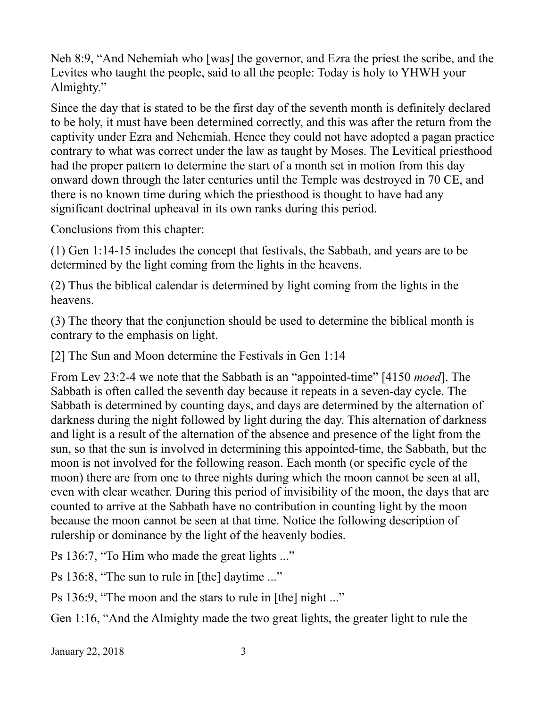Neh 8:9, "And Nehemiah who [was] the governor, and Ezra the priest the scribe, and the Levites who taught the people, said to all the people: Today is holy to YHWH your Almighty."

Since the day that is stated to be the first day of the seventh month is definitely declared to be holy, it must have been determined correctly, and this was after the return from the captivity under Ezra and Nehemiah. Hence they could not have adopted a pagan practice contrary to what was correct under the law as taught by Moses. The Levitical priesthood had the proper pattern to determine the start of a month set in motion from this day onward down through the later centuries until the Temple was destroyed in 70 CE, and there is no known time during which the priesthood is thought to have had any significant doctrinal upheaval in its own ranks during this period.

Conclusions from this chapter:

(1) Gen 1:14-15 includes the concept that festivals, the Sabbath, and years are to be determined by the light coming from the lights in the heavens.

(2) Thus the biblical calendar is determined by light coming from the lights in the heavens.

(3) The theory that the conjunction should be used to determine the biblical month is contrary to the emphasis on light.

[2] The Sun and Moon determine the Festivals in Gen 1:14

From Lev 23:2-4 we note that the Sabbath is an "appointed-time" [4150 *moed*]. The Sabbath is often called the seventh day because it repeats in a seven-day cycle. The Sabbath is determined by counting days, and days are determined by the alternation of darkness during the night followed by light during the day. This alternation of darkness and light is a result of the alternation of the absence and presence of the light from the sun, so that the sun is involved in determining this appointed-time, the Sabbath, but the moon is not involved for the following reason. Each month (or specific cycle of the moon) there are from one to three nights during which the moon cannot be seen at all, even with clear weather. During this period of invisibility of the moon, the days that are counted to arrive at the Sabbath have no contribution in counting light by the moon because the moon cannot be seen at that time. Notice the following description of rulership or dominance by the light of the heavenly bodies.

Ps 136:7, "To Him who made the great lights ..."

Ps 136:8, "The sun to rule in [the] daytime ..."

Ps 136:9, "The moon and the stars to rule in [the] night ..."

Gen 1:16, "And the Almighty made the two great lights, the greater light to rule the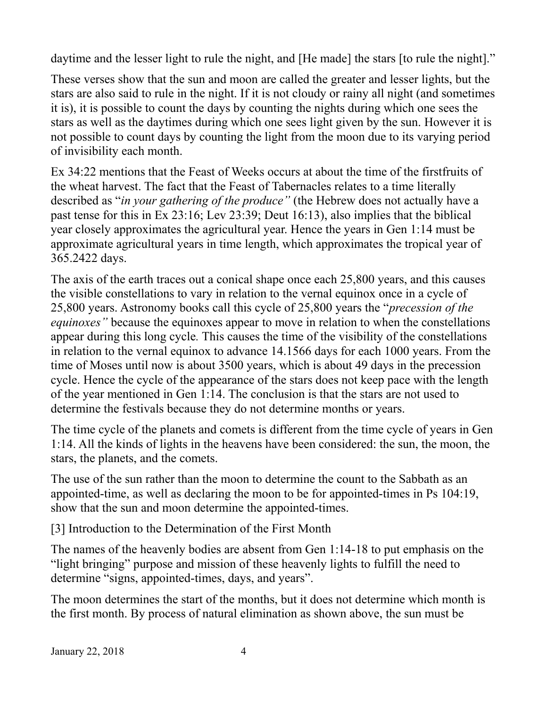daytime and the lesser light to rule the night, and [He made] the stars [to rule the night]."

These verses show that the sun and moon are called the greater and lesser lights, but the stars are also said to rule in the night. If it is not cloudy or rainy all night (and sometimes it is), it is possible to count the days by counting the nights during which one sees the stars as well as the daytimes during which one sees light given by the sun. However it is not possible to count days by counting the light from the moon due to its varying period of invisibility each month.

Ex 34:22 mentions that the Feast of Weeks occurs at about the time of the firstfruits of the wheat harvest. The fact that the Feast of Tabernacles relates to a time literally described as "*in your gathering of the produce"* (the Hebrew does not actually have a past tense for this in Ex 23:16; Lev 23:39; Deut 16:13), also implies that the biblical year closely approximates the agricultural year. Hence the years in Gen 1:14 must be approximate agricultural years in time length, which approximates the tropical year of 365.2422 days.

The axis of the earth traces out a conical shape once each 25,800 years, and this causes the visible constellations to vary in relation to the vernal equinox once in a cycle of 25,800 years. Astronomy books call this cycle of 25,800 years the "*precession of the equinoxes"* because the equinoxes appear to move in relation to when the constellations appear during this long cycle*.* This causes the time of the visibility of the constellations in relation to the vernal equinox to advance 14.1566 days for each 1000 years. From the time of Moses until now is about 3500 years, which is about 49 days in the precession cycle. Hence the cycle of the appearance of the stars does not keep pace with the length of the year mentioned in Gen 1:14. The conclusion is that the stars are not used to determine the festivals because they do not determine months or years.

The time cycle of the planets and comets is different from the time cycle of years in Gen 1:14. All the kinds of lights in the heavens have been considered: the sun, the moon, the stars, the planets, and the comets.

The use of the sun rather than the moon to determine the count to the Sabbath as an appointed-time, as well as declaring the moon to be for appointed-times in Ps 104:19, show that the sun and moon determine the appointed-times.

[3] Introduction to the Determination of the First Month

The names of the heavenly bodies are absent from Gen 1:14-18 to put emphasis on the "light bringing" purpose and mission of these heavenly lights to fulfill the need to determine "signs, appointed-times, days, and years".

The moon determines the start of the months, but it does not determine which month is the first month. By process of natural elimination as shown above, the sun must be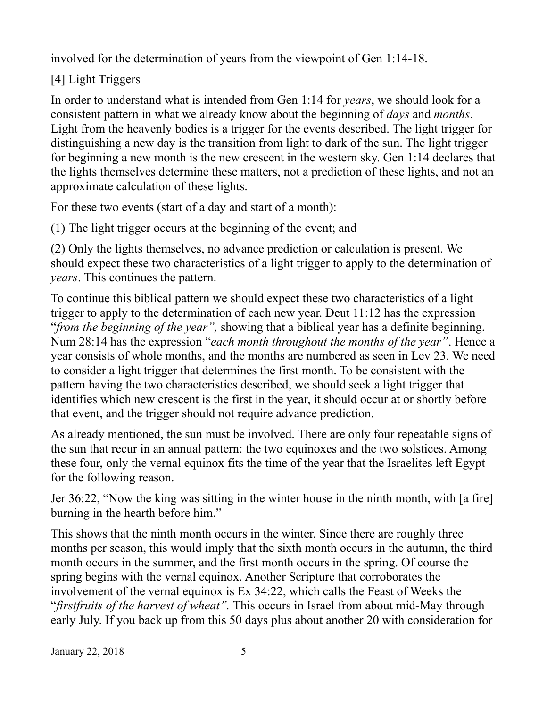involved for the determination of years from the viewpoint of Gen 1:14-18.

[4] Light Triggers

In order to understand what is intended from Gen 1:14 for *years*, we should look for a consistent pattern in what we already know about the beginning of *days* and *months*. Light from the heavenly bodies is a trigger for the events described. The light trigger for distinguishing a new day is the transition from light to dark of the sun. The light trigger for beginning a new month is the new crescent in the western sky. Gen 1:14 declares that the lights themselves determine these matters, not a prediction of these lights, and not an approximate calculation of these lights.

For these two events (start of a day and start of a month):

(1) The light trigger occurs at the beginning of the event; and

(2) Only the lights themselves, no advance prediction or calculation is present. We should expect these two characteristics of a light trigger to apply to the determination of *years*. This continues the pattern.

To continue this biblical pattern we should expect these two characteristics of a light trigger to apply to the determination of each new year. Deut 11:12 has the expression "*from the beginning of the year",* showing that a biblical year has a definite beginning. Num 28:14 has the expression "*each month throughout the months of the year"*. Hence a year consists of whole months, and the months are numbered as seen in Lev 23. We need to consider a light trigger that determines the first month. To be consistent with the pattern having the two characteristics described, we should seek a light trigger that identifies which new crescent is the first in the year, it should occur at or shortly before that event, and the trigger should not require advance prediction.

As already mentioned, the sun must be involved. There are only four repeatable signs of the sun that recur in an annual pattern: the two equinoxes and the two solstices. Among these four, only the vernal equinox fits the time of the year that the Israelites left Egypt for the following reason.

Jer 36:22, "Now the king was sitting in the winter house in the ninth month, with [a fire] burning in the hearth before him."

This shows that the ninth month occurs in the winter. Since there are roughly three months per season, this would imply that the sixth month occurs in the autumn, the third month occurs in the summer, and the first month occurs in the spring. Of course the spring begins with the vernal equinox. Another Scripture that corroborates the involvement of the vernal equinox is Ex 34:22, which calls the Feast of Weeks the "*firstfruits of the harvest of wheat".* This occurs in Israel from about mid-May through early July. If you back up from this 50 days plus about another 20 with consideration for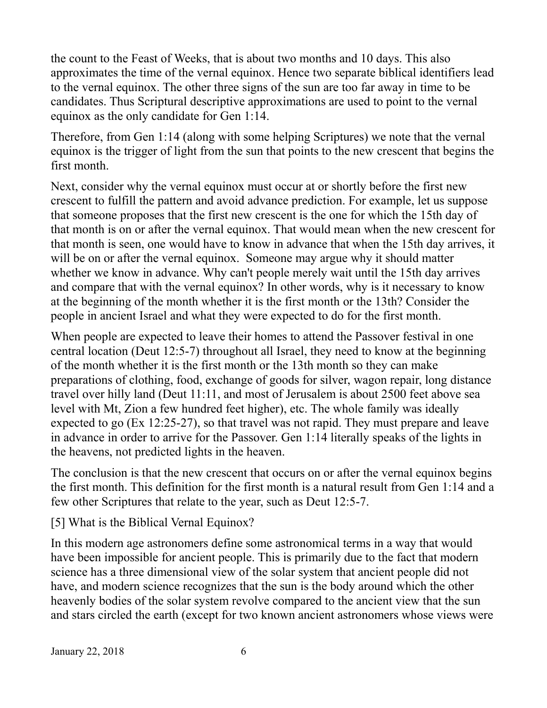the count to the Feast of Weeks, that is about two months and 10 days. This also approximates the time of the vernal equinox. Hence two separate biblical identifiers lead to the vernal equinox. The other three signs of the sun are too far away in time to be candidates. Thus Scriptural descriptive approximations are used to point to the vernal equinox as the only candidate for Gen 1:14.

Therefore, from Gen 1:14 (along with some helping Scriptures) we note that the vernal equinox is the trigger of light from the sun that points to the new crescent that begins the first month.

Next, consider why the vernal equinox must occur at or shortly before the first new crescent to fulfill the pattern and avoid advance prediction. For example, let us suppose that someone proposes that the first new crescent is the one for which the 15th day of that month is on or after the vernal equinox. That would mean when the new crescent for that month is seen, one would have to know in advance that when the 15th day arrives, it will be on or after the vernal equinox. Someone may argue why it should matter whether we know in advance. Why can't people merely wait until the 15th day arrives and compare that with the vernal equinox? In other words, why is it necessary to know at the beginning of the month whether it is the first month or the 13th? Consider the people in ancient Israel and what they were expected to do for the first month.

When people are expected to leave their homes to attend the Passover festival in one central location (Deut 12:5-7) throughout all Israel, they need to know at the beginning of the month whether it is the first month or the 13th month so they can make preparations of clothing, food, exchange of goods for silver, wagon repair, long distance travel over hilly land (Deut 11:11, and most of Jerusalem is about 2500 feet above sea level with Mt, Zion a few hundred feet higher), etc. The whole family was ideally expected to go (Ex 12:25-27), so that travel was not rapid. They must prepare and leave in advance in order to arrive for the Passover. Gen 1:14 literally speaks of the lights in the heavens, not predicted lights in the heaven.

The conclusion is that the new crescent that occurs on or after the vernal equinox begins the first month. This definition for the first month is a natural result from Gen 1:14 and a few other Scriptures that relate to the year, such as Deut 12:5-7.

[5] What is the Biblical Vernal Equinox?

In this modern age astronomers define some astronomical terms in a way that would have been impossible for ancient people. This is primarily due to the fact that modern science has a three dimensional view of the solar system that ancient people did not have, and modern science recognizes that the sun is the body around which the other heavenly bodies of the solar system revolve compared to the ancient view that the sun and stars circled the earth (except for two known ancient astronomers whose views were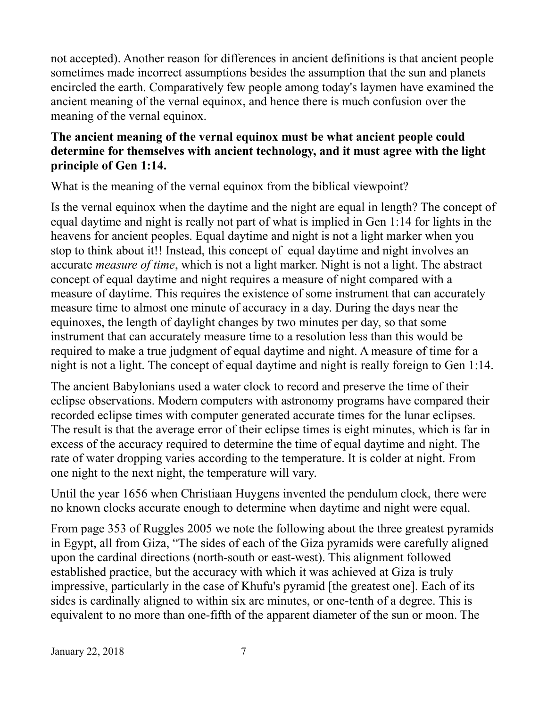not accepted). Another reason for differences in ancient definitions is that ancient people sometimes made incorrect assumptions besides the assumption that the sun and planets encircled the earth. Comparatively few people among today's laymen have examined the ancient meaning of the vernal equinox, and hence there is much confusion over the meaning of the vernal equinox.

## **The ancient meaning of the vernal equinox must be what ancient people could determine for themselves with ancient technology, and it must agree with the light principle of Gen 1:14.**

What is the meaning of the vernal equinox from the biblical viewpoint?

Is the vernal equinox when the daytime and the night are equal in length? The concept of equal daytime and night is really not part of what is implied in Gen 1:14 for lights in the heavens for ancient peoples. Equal daytime and night is not a light marker when you stop to think about it!! Instead, this concept of equal daytime and night involves an accurate *measure of time*, which is not a light marker. Night is not a light. The abstract concept of equal daytime and night requires a measure of night compared with a measure of daytime. This requires the existence of some instrument that can accurately measure time to almost one minute of accuracy in a day. During the days near the equinoxes, the length of daylight changes by two minutes per day, so that some instrument that can accurately measure time to a resolution less than this would be required to make a true judgment of equal daytime and night. A measure of time for a night is not a light. The concept of equal daytime and night is really foreign to Gen 1:14.

The ancient Babylonians used a water clock to record and preserve the time of their eclipse observations. Modern computers with astronomy programs have compared their recorded eclipse times with computer generated accurate times for the lunar eclipses. The result is that the average error of their eclipse times is eight minutes, which is far in excess of the accuracy required to determine the time of equal daytime and night. The rate of water dropping varies according to the temperature. It is colder at night. From one night to the next night, the temperature will vary.

Until the year 1656 when Christiaan Huygens invented the pendulum clock, there were no known clocks accurate enough to determine when daytime and night were equal.

From page 353 of Ruggles 2005 we note the following about the three greatest pyramids in Egypt, all from Giza, "The sides of each of the Giza pyramids were carefully aligned upon the cardinal directions (north-south or east-west). This alignment followed established practice, but the accuracy with which it was achieved at Giza is truly impressive, particularly in the case of Khufu's pyramid [the greatest one]. Each of its sides is cardinally aligned to within six arc minutes, or one-tenth of a degree. This is equivalent to no more than one-fifth of the apparent diameter of the sun or moon. The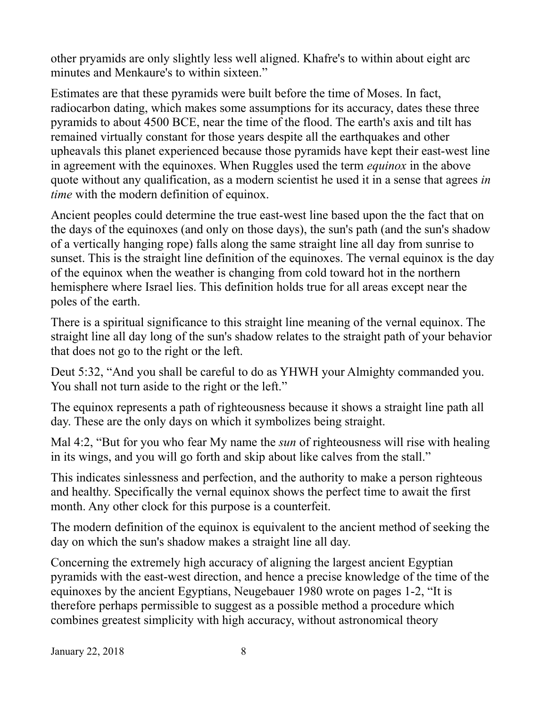other pryamids are only slightly less well aligned. Khafre's to within about eight arc minutes and Menkaure's to within sixteen."

Estimates are that these pyramids were built before the time of Moses. In fact, radiocarbon dating, which makes some assumptions for its accuracy, dates these three pyramids to about 4500 BCE, near the time of the flood. The earth's axis and tilt has remained virtually constant for those years despite all the earthquakes and other upheavals this planet experienced because those pyramids have kept their east-west line in agreement with the equinoxes. When Ruggles used the term *equinox* in the above quote without any qualification, as a modern scientist he used it in a sense that agrees *in time* with the modern definition of equinox.

Ancient peoples could determine the true east-west line based upon the the fact that on the days of the equinoxes (and only on those days), the sun's path (and the sun's shadow of a vertically hanging rope) falls along the same straight line all day from sunrise to sunset. This is the straight line definition of the equinoxes. The vernal equinox is the day of the equinox when the weather is changing from cold toward hot in the northern hemisphere where Israel lies. This definition holds true for all areas except near the poles of the earth.

There is a spiritual significance to this straight line meaning of the vernal equinox. The straight line all day long of the sun's shadow relates to the straight path of your behavior that does not go to the right or the left.

Deut 5:32, "And you shall be careful to do as YHWH your Almighty commanded you. You shall not turn aside to the right or the left."

The equinox represents a path of righteousness because it shows a straight line path all day. These are the only days on which it symbolizes being straight.

Mal 4:2, "But for you who fear My name the *sun* of righteousness will rise with healing in its wings, and you will go forth and skip about like calves from the stall."

This indicates sinlessness and perfection, and the authority to make a person righteous and healthy. Specifically the vernal equinox shows the perfect time to await the first month. Any other clock for this purpose is a counterfeit.

The modern definition of the equinox is equivalent to the ancient method of seeking the day on which the sun's shadow makes a straight line all day.

Concerning the extremely high accuracy of aligning the largest ancient Egyptian pyramids with the east-west direction, and hence a precise knowledge of the time of the equinoxes by the ancient Egyptians, Neugebauer 1980 wrote on pages 1-2, "It is therefore perhaps permissible to suggest as a possible method a procedure which combines greatest simplicity with high accuracy, without astronomical theory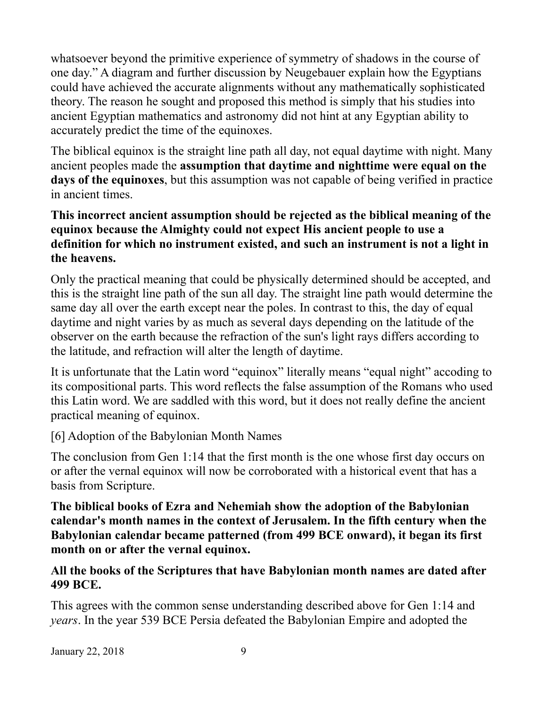whatsoever beyond the primitive experience of symmetry of shadows in the course of one day." A diagram and further discussion by Neugebauer explain how the Egyptians could have achieved the accurate alignments without any mathematically sophisticated theory. The reason he sought and proposed this method is simply that his studies into ancient Egyptian mathematics and astronomy did not hint at any Egyptian ability to accurately predict the time of the equinoxes.

The biblical equinox is the straight line path all day, not equal daytime with night. Many ancient peoples made the **assumption that daytime and nighttime were equal on the days of the equinoxes**, but this assumption was not capable of being verified in practice in ancient times.

## **This incorrect ancient assumption should be rejected as the biblical meaning of the equinox because the Almighty could not expect His ancient people to use a definition for which no instrument existed, and such an instrument is not a light in the heavens.**

Only the practical meaning that could be physically determined should be accepted, and this is the straight line path of the sun all day. The straight line path would determine the same day all over the earth except near the poles. In contrast to this, the day of equal daytime and night varies by as much as several days depending on the latitude of the observer on the earth because the refraction of the sun's light rays differs according to the latitude, and refraction will alter the length of daytime.

It is unfortunate that the Latin word "equinox" literally means "equal night" accoding to its compositional parts. This word reflects the false assumption of the Romans who used this Latin word. We are saddled with this word, but it does not really define the ancient practical meaning of equinox.

[6] Adoption of the Babylonian Month Names

The conclusion from Gen 1:14 that the first month is the one whose first day occurs on or after the vernal equinox will now be corroborated with a historical event that has a basis from Scripture.

**The biblical books of Ezra and Nehemiah show the adoption of the Babylonian calendar's month names in the context of Jerusalem. In the fifth century when the Babylonian calendar became patterned (from 499 BCE onward), it began its first month on or after the vernal equinox.**

## **All the books of the Scriptures that have Babylonian month names are dated after 499 BCE.**

This agrees with the common sense understanding described above for Gen 1:14 and *years*. In the year 539 BCE Persia defeated the Babylonian Empire and adopted the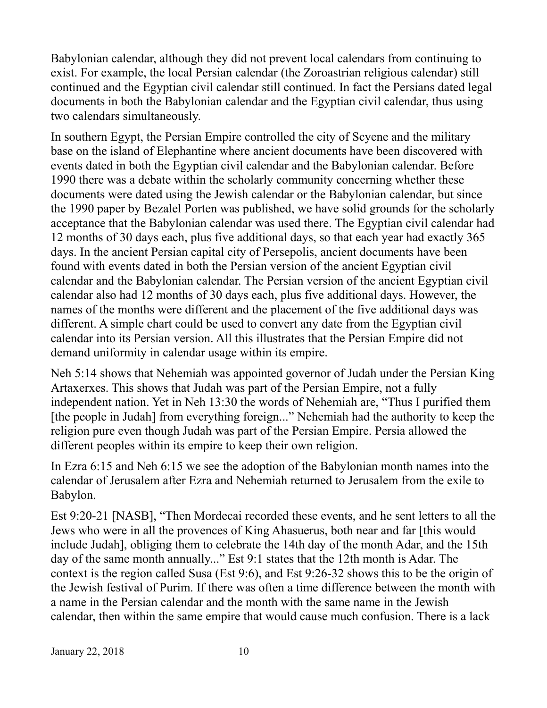Babylonian calendar, although they did not prevent local calendars from continuing to exist. For example, the local Persian calendar (the Zoroastrian religious calendar) still continued and the Egyptian civil calendar still continued. In fact the Persians dated legal documents in both the Babylonian calendar and the Egyptian civil calendar, thus using two calendars simultaneously.

In southern Egypt, the Persian Empire controlled the city of Scyene and the military base on the island of Elephantine where ancient documents have been discovered with events dated in both the Egyptian civil calendar and the Babylonian calendar. Before 1990 there was a debate within the scholarly community concerning whether these documents were dated using the Jewish calendar or the Babylonian calendar, but since the 1990 paper by Bezalel Porten was published, we have solid grounds for the scholarly acceptance that the Babylonian calendar was used there. The Egyptian civil calendar had 12 months of 30 days each, plus five additional days, so that each year had exactly 365 days. In the ancient Persian capital city of Persepolis, ancient documents have been found with events dated in both the Persian version of the ancient Egyptian civil calendar and the Babylonian calendar. The Persian version of the ancient Egyptian civil calendar also had 12 months of 30 days each, plus five additional days. However, the names of the months were different and the placement of the five additional days was different. A simple chart could be used to convert any date from the Egyptian civil calendar into its Persian version. All this illustrates that the Persian Empire did not demand uniformity in calendar usage within its empire.

Neh 5:14 shows that Nehemiah was appointed governor of Judah under the Persian King Artaxerxes. This shows that Judah was part of the Persian Empire, not a fully independent nation. Yet in Neh 13:30 the words of Nehemiah are, "Thus I purified them [the people in Judah] from everything foreign..." Nehemiah had the authority to keep the religion pure even though Judah was part of the Persian Empire. Persia allowed the different peoples within its empire to keep their own religion.

In Ezra 6:15 and Neh 6:15 we see the adoption of the Babylonian month names into the calendar of Jerusalem after Ezra and Nehemiah returned to Jerusalem from the exile to Babylon.

Est 9:20-21 [NASB], "Then Mordecai recorded these events, and he sent letters to all the Jews who were in all the provences of King Ahasuerus, both near and far [this would include Judah], obliging them to celebrate the 14th day of the month Adar, and the 15th day of the same month annually..." Est 9:1 states that the 12th month is Adar. The context is the region called Susa (Est 9:6), and Est 9:26-32 shows this to be the origin of the Jewish festival of Purim. If there was often a time difference between the month with a name in the Persian calendar and the month with the same name in the Jewish calendar, then within the same empire that would cause much confusion. There is a lack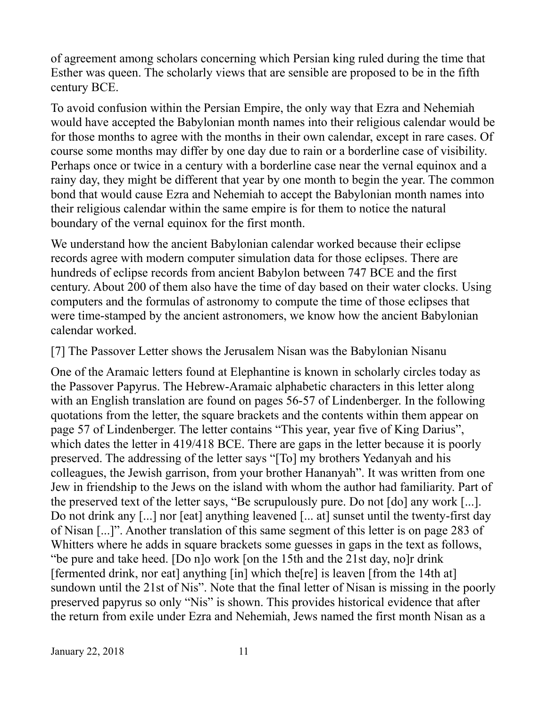of agreement among scholars concerning which Persian king ruled during the time that Esther was queen. The scholarly views that are sensible are proposed to be in the fifth century BCE.

To avoid confusion within the Persian Empire, the only way that Ezra and Nehemiah would have accepted the Babylonian month names into their religious calendar would be for those months to agree with the months in their own calendar, except in rare cases. Of course some months may differ by one day due to rain or a borderline case of visibility. Perhaps once or twice in a century with a borderline case near the vernal equinox and a rainy day, they might be different that year by one month to begin the year. The common bond that would cause Ezra and Nehemiah to accept the Babylonian month names into their religious calendar within the same empire is for them to notice the natural boundary of the vernal equinox for the first month.

We understand how the ancient Babylonian calendar worked because their eclipse records agree with modern computer simulation data for those eclipses. There are hundreds of eclipse records from ancient Babylon between 747 BCE and the first century. About 200 of them also have the time of day based on their water clocks. Using computers and the formulas of astronomy to compute the time of those eclipses that were time-stamped by the ancient astronomers, we know how the ancient Babylonian calendar worked.

[7] The Passover Letter shows the Jerusalem Nisan was the Babylonian Nisanu

One of the Aramaic letters found at Elephantine is known in scholarly circles today as the Passover Papyrus. The Hebrew-Aramaic alphabetic characters in this letter along with an English translation are found on pages 56-57 of Lindenberger. In the following quotations from the letter, the square brackets and the contents within them appear on page 57 of Lindenberger. The letter contains "This year, year five of King Darius", which dates the letter in 419/418 BCE. There are gaps in the letter because it is poorly preserved. The addressing of the letter says "[To] my brothers Yedanyah and his colleagues, the Jewish garrison, from your brother Hananyah". It was written from one Jew in friendship to the Jews on the island with whom the author had familiarity. Part of the preserved text of the letter says, "Be scrupulously pure. Do not [do] any work [...]. Do not drink any [...] nor [eat] anything leavened [... at] sunset until the twenty-first day of Nisan [...]". Another translation of this same segment of this letter is on page 283 of Whitters where he adds in square brackets some guesses in gaps in the text as follows, "be pure and take heed. [Do n]o work [on the 15th and the 21st day, no]r drink [fermented drink, nor eat] anything [in] which the[re] is leaven [from the 14th at] sundown until the 21st of Nis". Note that the final letter of Nisan is missing in the poorly preserved papyrus so only "Nis" is shown. This provides historical evidence that after the return from exile under Ezra and Nehemiah, Jews named the first month Nisan as a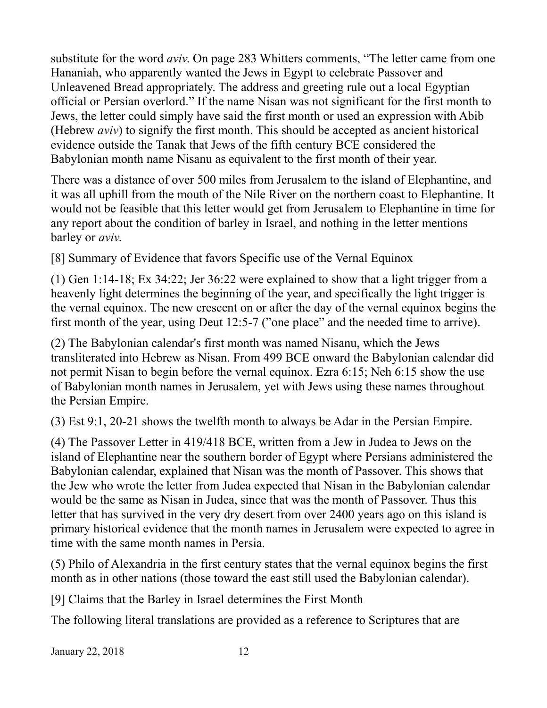substitute for the word *aviv*. On page 283 Whitters comments, "The letter came from one Hananiah, who apparently wanted the Jews in Egypt to celebrate Passover and Unleavened Bread appropriately. The address and greeting rule out a local Egyptian official or Persian overlord." If the name Nisan was not significant for the first month to Jews, the letter could simply have said the first month or used an expression with Abib (Hebrew *aviv*) to signify the first month. This should be accepted as ancient historical evidence outside the Tanak that Jews of the fifth century BCE considered the Babylonian month name Nisanu as equivalent to the first month of their year.

There was a distance of over 500 miles from Jerusalem to the island of Elephantine, and it was all uphill from the mouth of the Nile River on the northern coast to Elephantine. It would not be feasible that this letter would get from Jerusalem to Elephantine in time for any report about the condition of barley in Israel, and nothing in the letter mentions barley or *aviv*.

[8] Summary of Evidence that favors Specific use of the Vernal Equinox

(1) Gen 1:14-18; Ex 34:22; Jer 36:22 were explained to show that a light trigger from a heavenly light determines the beginning of the year, and specifically the light trigger is the vernal equinox. The new crescent on or after the day of the vernal equinox begins the first month of the year, using Deut 12:5-7 ("one place" and the needed time to arrive).

(2) The Babylonian calendar's first month was named Nisanu, which the Jews transliterated into Hebrew as Nisan. From 499 BCE onward the Babylonian calendar did not permit Nisan to begin before the vernal equinox. Ezra 6:15; Neh 6:15 show the use of Babylonian month names in Jerusalem, yet with Jews using these names throughout the Persian Empire.

(3) Est 9:1, 20-21 shows the twelfth month to always be Adar in the Persian Empire.

(4) The Passover Letter in 419/418 BCE, written from a Jew in Judea to Jews on the island of Elephantine near the southern border of Egypt where Persians administered the Babylonian calendar, explained that Nisan was the month of Passover. This shows that the Jew who wrote the letter from Judea expected that Nisan in the Babylonian calendar would be the same as Nisan in Judea, since that was the month of Passover. Thus this letter that has survived in the very dry desert from over 2400 years ago on this island is primary historical evidence that the month names in Jerusalem were expected to agree in time with the same month names in Persia.

(5) Philo of Alexandria in the first century states that the vernal equinox begins the first month as in other nations (those toward the east still used the Babylonian calendar).

[9] Claims that the Barley in Israel determines the First Month

The following literal translations are provided as a reference to Scriptures that are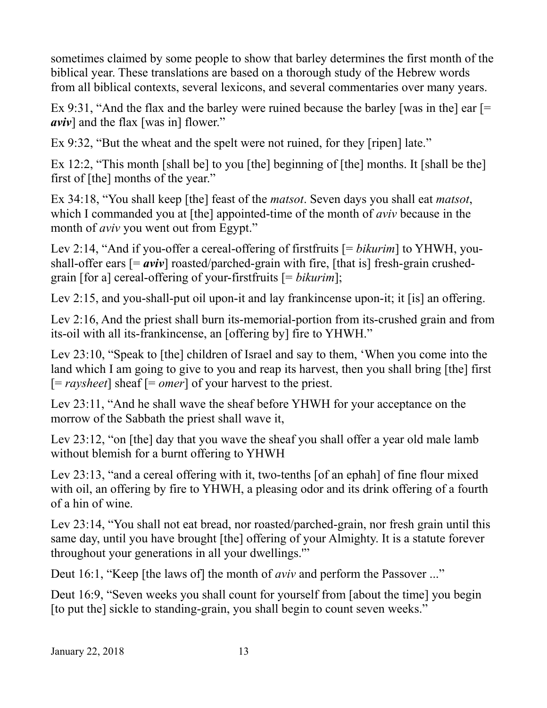sometimes claimed by some people to show that barley determines the first month of the biblical year. These translations are based on a thorough study of the Hebrew words from all biblical contexts, several lexicons, and several commentaries over many years.

Ex 9:31, "And the flax and the barley were ruined because the barley [was in the] ear [= *aviv*] and the flax [was in] flower."

Ex 9:32, "But the wheat and the spelt were not ruined, for they [ripen] late."

Ex 12:2, "This month [shall be] to you [the] beginning of [the] months. It [shall be the] first of [the] months of the year."

Ex 34:18, "You shall keep [the] feast of the *matsot*. Seven days you shall eat *matsot*, which I commanded you at [the] appointed-time of the month of *aviv* because in the month of *aviv* you went out from Egypt."

Lev 2:14, "And if you-offer a cereal-offering of firstfruits [= *bikurim*] to YHWH, youshall-offer ears  $[=$  *aviv*] roasted/parched-grain with fire, [that is] fresh-grain crushedgrain [for a] cereal-offering of your-firstfruits [= *bikurim*];

Lev 2:15, and you-shall-put oil upon-it and lay frankincense upon-it; it [is] an offering.

Lev 2:16, And the priest shall burn its-memorial-portion from its-crushed grain and from its-oil with all its-frankincense, an [offering by] fire to YHWH."

Lev 23:10, "Speak to [the] children of Israel and say to them, 'When you come into the land which I am going to give to you and reap its harvest, then you shall bring [the] first [= *raysheet*] sheaf [= *omer*] of your harvest to the priest.

Lev 23:11, "And he shall wave the sheaf before YHWH for your acceptance on the morrow of the Sabbath the priest shall wave it,

Lev 23:12, "on [the] day that you wave the sheaf you shall offer a year old male lamb without blemish for a burnt offering to YHWH

Lev 23:13, "and a cereal offering with it, two-tenths [of an ephah] of fine flour mixed with oil, an offering by fire to YHWH, a pleasing odor and its drink offering of a fourth of a hin of wine.

Lev 23:14, "You shall not eat bread, nor roasted/parched-grain, nor fresh grain until this same day, until you have brought [the] offering of your Almighty. It is a statute forever throughout your generations in all your dwellings.'"

Deut 16:1, "Keep [the laws of] the month of *aviv* and perform the Passover ..."

Deut 16:9, "Seven weeks you shall count for yourself from [about the time] you begin [to put the] sickle to standing-grain, you shall begin to count seven weeks."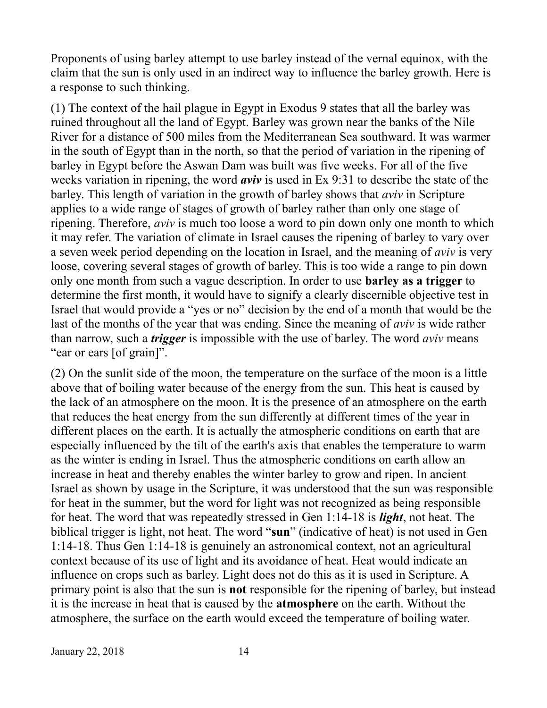Proponents of using barley attempt to use barley instead of the vernal equinox, with the claim that the sun is only used in an indirect way to influence the barley growth. Here is a response to such thinking.

(1) The context of the hail plague in Egypt in Exodus 9 states that all the barley was ruined throughout all the land of Egypt. Barley was grown near the banks of the Nile River for a distance of 500 miles from the Mediterranean Sea southward. It was warmer in the south of Egypt than in the north, so that the period of variation in the ripening of barley in Egypt before the Aswan Dam was built was five weeks. For all of the five weeks variation in ripening, the word *aviv* is used in Ex 9:31 to describe the state of the barley. This length of variation in the growth of barley shows that *aviv* in Scripture applies to a wide range of stages of growth of barley rather than only one stage of ripening. Therefore, *aviv* is much too loose a word to pin down only one month to which it may refer. The variation of climate in Israel causes the ripening of barley to vary over a seven week period depending on the location in Israel, and the meaning of *aviv* is very loose, covering several stages of growth of barley. This is too wide a range to pin down only one month from such a vague description. In order to use **barley as a trigger** to determine the first month, it would have to signify a clearly discernible objective test in Israel that would provide a "yes or no" decision by the end of a month that would be the last of the months of the year that was ending. Since the meaning of *aviv* is wide rather than narrow, such a *trigger* is impossible with the use of barley. The word *aviv* means "ear or ears [of grain]".

(2) On the sunlit side of the moon, the temperature on the surface of the moon is a little above that of boiling water because of the energy from the sun. This heat is caused by the lack of an atmosphere on the moon. It is the presence of an atmosphere on the earth that reduces the heat energy from the sun differently at different times of the year in different places on the earth. It is actually the atmospheric conditions on earth that are especially influenced by the tilt of the earth's axis that enables the temperature to warm as the winter is ending in Israel. Thus the atmospheric conditions on earth allow an increase in heat and thereby enables the winter barley to grow and ripen. In ancient Israel as shown by usage in the Scripture, it was understood that the sun was responsible for heat in the summer, but the word for light was not recognized as being responsible for heat. The word that was repeatedly stressed in Gen 1:14-18 is *light*, not heat. The biblical trigger is light, not heat. The word "**sun**" (indicative of heat) is not used in Gen 1:14-18. Thus Gen 1:14-18 is genuinely an astronomical context, not an agricultural context because of its use of light and its avoidance of heat. Heat would indicate an influence on crops such as barley. Light does not do this as it is used in Scripture. A primary point is also that the sun is **not** responsible for the ripening of barley, but instead it is the increase in heat that is caused by the **atmosphere** on the earth. Without the atmosphere, the surface on the earth would exceed the temperature of boiling water.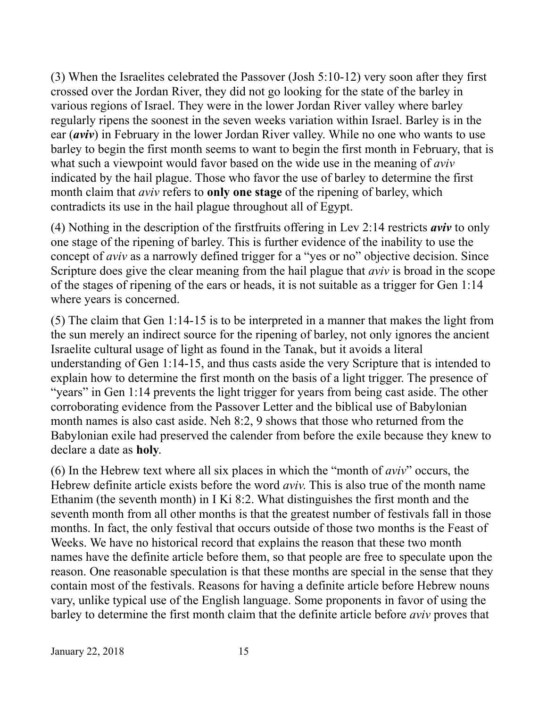(3) When the Israelites celebrated the Passover (Josh 5:10-12) very soon after they first crossed over the Jordan River, they did not go looking for the state of the barley in various regions of Israel. They were in the lower Jordan River valley where barley regularly ripens the soonest in the seven weeks variation within Israel. Barley is in the ear (*aviv*) in February in the lower Jordan River valley. While no one who wants to use barley to begin the first month seems to want to begin the first month in February, that is what such a viewpoint would favor based on the wide use in the meaning of *aviv* indicated by the hail plague. Those who favor the use of barley to determine the first month claim that *aviv* refers to **only one stage** of the ripening of barley, which contradicts its use in the hail plague throughout all of Egypt.

(4) Nothing in the description of the firstfruits offering in Lev 2:14 restricts *aviv* to only one stage of the ripening of barley. This is further evidence of the inability to use the concept of *aviv* as a narrowly defined trigger for a "yes or no" objective decision. Since Scripture does give the clear meaning from the hail plague that *aviv* is broad in the scope of the stages of ripening of the ears or heads, it is not suitable as a trigger for Gen 1:14 where years is concerned.

(5) The claim that Gen 1:14-15 is to be interpreted in a manner that makes the light from the sun merely an indirect source for the ripening of barley, not only ignores the ancient Israelite cultural usage of light as found in the Tanak, but it avoids a literal understanding of Gen 1:14-15, and thus casts aside the very Scripture that is intended to explain how to determine the first month on the basis of a light trigger. The presence of "years" in Gen 1:14 prevents the light trigger for years from being cast aside. The other corroborating evidence from the Passover Letter and the biblical use of Babylonian month names is also cast aside. Neh 8:2, 9 shows that those who returned from the Babylonian exile had preserved the calender from before the exile because they knew to declare a date as **holy**.

(6) In the Hebrew text where all six places in which the "month of *aviv*" occurs, the Hebrew definite article exists before the word *aviv*. This is also true of the month name Ethanim (the seventh month) in I Ki 8:2. What distinguishes the first month and the seventh month from all other months is that the greatest number of festivals fall in those months. In fact, the only festival that occurs outside of those two months is the Feast of Weeks. We have no historical record that explains the reason that these two month names have the definite article before them, so that people are free to speculate upon the reason. One reasonable speculation is that these months are special in the sense that they contain most of the festivals. Reasons for having a definite article before Hebrew nouns vary, unlike typical use of the English language. Some proponents in favor of using the barley to determine the first month claim that the definite article before *aviv* proves that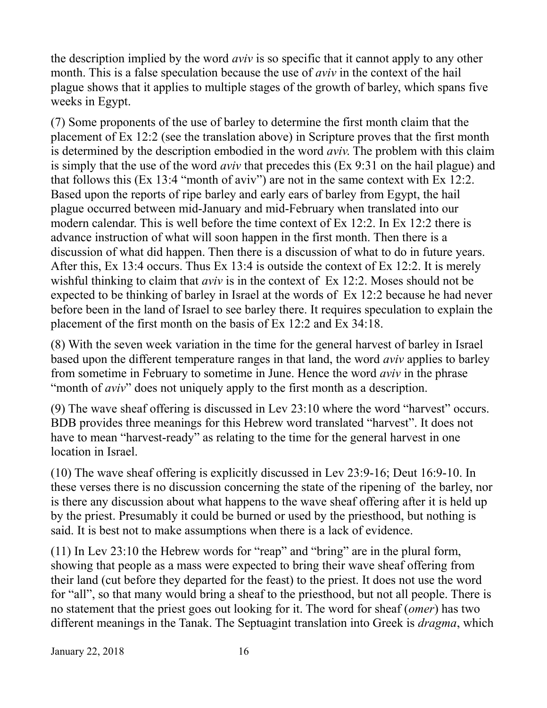the description implied by the word *aviv* is so specific that it cannot apply to any other month. This is a false speculation because the use of *aviv* in the context of the hail plague shows that it applies to multiple stages of the growth of barley, which spans five weeks in Egypt.

(7) Some proponents of the use of barley to determine the first month claim that the placement of Ex 12:2 (see the translation above) in Scripture proves that the first month is determined by the description embodied in the word *aviv*. The problem with this claim is simply that the use of the word *aviv* that precedes this (Ex 9:31 on the hail plague) and that follows this (Ex 13:4 "month of aviv") are not in the same context with Ex 12:2. Based upon the reports of ripe barley and early ears of barley from Egypt, the hail plague occurred between mid-January and mid-February when translated into our modern calendar. This is well before the time context of Ex 12:2. In Ex 12:2 there is advance instruction of what will soon happen in the first month. Then there is a discussion of what did happen. Then there is a discussion of what to do in future years. After this, Ex 13:4 occurs. Thus Ex 13:4 is outside the context of Ex 12:2. It is merely wishful thinking to claim that *aviv* is in the context of Ex 12:2. Moses should not be expected to be thinking of barley in Israel at the words of Ex 12:2 because he had never before been in the land of Israel to see barley there. It requires speculation to explain the placement of the first month on the basis of Ex 12:2 and Ex 34:18.

(8) With the seven week variation in the time for the general harvest of barley in Israel based upon the different temperature ranges in that land, the word *aviv* applies to barley from sometime in February to sometime in June. Hence the word *aviv* in the phrase "month of *aviv*" does not uniquely apply to the first month as a description.

(9) The wave sheaf offering is discussed in Lev 23:10 where the word "harvest" occurs. BDB provides three meanings for this Hebrew word translated "harvest". It does not have to mean "harvest-ready" as relating to the time for the general harvest in one location in Israel.

(10) The wave sheaf offering is explicitly discussed in Lev 23:9-16; Deut 16:9-10. In these verses there is no discussion concerning the state of the ripening of the barley, nor is there any discussion about what happens to the wave sheaf offering after it is held up by the priest. Presumably it could be burned or used by the priesthood, but nothing is said. It is best not to make assumptions when there is a lack of evidence.

(11) In Lev 23:10 the Hebrew words for "reap" and "bring" are in the plural form, showing that people as a mass were expected to bring their wave sheaf offering from their land (cut before they departed for the feast) to the priest. It does not use the word for "all", so that many would bring a sheaf to the priesthood, but not all people. There is no statement that the priest goes out looking for it. The word for sheaf (*omer*) has two different meanings in the Tanak. The Septuagint translation into Greek is *dragma*, which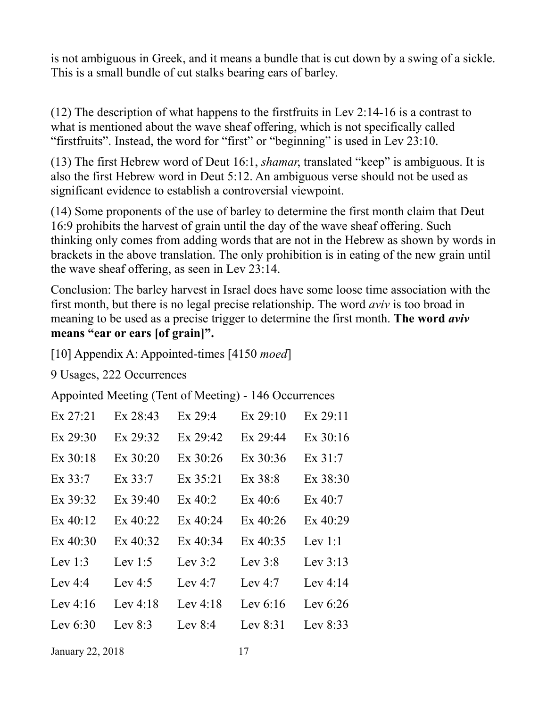is not ambiguous in Greek, and it means a bundle that is cut down by a swing of a sickle. This is a small bundle of cut stalks bearing ears of barley.

(12) The description of what happens to the firstfruits in Lev 2:14-16 is a contrast to what is mentioned about the wave sheaf offering, which is not specifically called "firstfruits". Instead, the word for "first" or "beginning" is used in Lev 23:10.

(13) The first Hebrew word of Deut 16:1, *shamar*, translated "keep" is ambiguous. It is also the first Hebrew word in Deut 5:12. An ambiguous verse should not be used as significant evidence to establish a controversial viewpoint.

(14) Some proponents of the use of barley to determine the first month claim that Deut 16:9 prohibits the harvest of grain until the day of the wave sheaf offering. Such thinking only comes from adding words that are not in the Hebrew as shown by words in brackets in the above translation. The only prohibition is in eating of the new grain until the wave sheaf offering, as seen in Lev 23:14.

Conclusion: The barley harvest in Israel does have some loose time association with the first month, but there is no legal precise relationship. The word *aviv* is too broad in meaning to be used as a precise trigger to determine the first month. **The word** *aviv* **means "ear or ears [of grain]".**

[10] Appendix A: Appointed-times [4150 *moed*]

9 Usages, 222 Occurrences

Appointed Meeting (Tent of Meeting) - 146 Occurrences

| Ex 27:21    | Ex 28:43    | $Ex$ 29:4   | Ex 29:10    | Ex 29:11    |
|-------------|-------------|-------------|-------------|-------------|
| Ex 29:30    | Ex 29:32    | Ex 29:42    | Ex 29:44    | $Ex\,30:16$ |
| $Ex\,30:18$ | $Ex\,30:20$ | $Ex\,30:26$ | $Ex\,30:36$ | $Ex\,31:7$  |
| $Ex\,33:7$  | $Ex\,33:7$  | Ex 35:21    | $Ex\,38:8$  | $Ex\,38:30$ |
| Ex 39:32    | Ex 39:40    | Ex 40:2     | $Ex\,40:6$  | $Ex\,40:7$  |
| $Ex\,40:12$ | Ex 40:22    | $Ex\,40:24$ | $Ex\,40:26$ | $Ex\,40:29$ |
| $Ex\,40:30$ | $Ex\,40:32$ | $Ex\,40:34$ | $Ex\,40:35$ | Lev $1:1$   |
| Lev $1:3$   | Lev $1:5$   | Lev $3:2$   | Lev $3:8$   | Lev $3:13$  |
| Lev $4:4$   | Lev $4:5$   | Lev $4:7$   | Lev $4:7$   | Lev $4:14$  |
| Lev $4:16$  | Lev $4:18$  | Lev $4:18$  | Lev $6:16$  | Lev $6:26$  |
| Lev $6:30$  | Lev $8:3$   | Lev $8:4$   | Lev $8:31$  | Lev $8:33$  |
|             |             |             |             |             |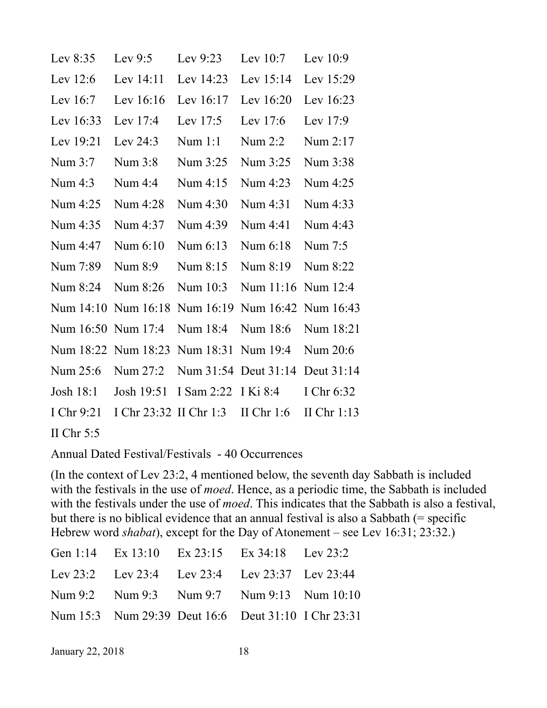| Lev $8:35$         | Lev $9:5$           | Lev $9:23$                     | Lev $10:7$                      | Lev $10:9$    |
|--------------------|---------------------|--------------------------------|---------------------------------|---------------|
| Lev $12:6$         | Lev $14:11$         | Lev 14:23                      | Lev $15:14$                     | Lev 15:29     |
| Lev $16:7$         | Lev $16:16$         | Lev $16:17$                    | Lev $16:20$                     | Lev $16:23$   |
| Lev $16:33$        | Lev $17:4$          | Lev $17:5$                     | Lev $17:6$                      | Lev $17:9$    |
| Lev $19:21$        | Lev $24:3$          | Num $1:1$                      | Num 2:2                         | Num 2:17      |
| Num 3:7            | Num 3:8             | Num 3:25                       | Num 3:25                        | Num 3:38      |
| Num 4:3            | Num 4:4             | Num 4:15                       | Num 4:23                        | Num 4:25      |
| Num 4:25           | Num 4:28            | Num 4:30                       | Num 4:31                        | Num 4:33      |
| Num 4:35           | Num 4:37            | Num 4:39                       | Num 4:41                        | Num 4:43      |
| Num 4:47           | Num 6:10            | Num 6:13                       | Num 6:18                        | Num 7:5       |
| Num 7:89           | Num 8:9             | Num 8:15                       | Num 8:19                        | Num 8:22      |
| Num 8:24           | Num 8:26            | Num 10:3                       | Num 11:16 Num 12:4              |               |
|                    | Num 14:10 Num 16:18 |                                | Num 16:19 Num 16:42 Num 16:43   |               |
| Num 16:50 Num 17:4 |                     | Num 18:4                       | Num 18:6                        | Num 18:21     |
|                    | Num 18:22 Num 18:23 |                                | Num 18:31 Num 19:4              | Num 20:6      |
| Num 25:6           | Num 27:2            |                                | Num 31:54 Deut 31:14 Deut 31:14 |               |
| Josh 18:1          |                     | Josh 19:51 I Sam 2:22 I Ki 8:4 |                                 | I Chr 6:32    |
| I Chr 9:21         |                     | I Chr 23:32 II Chr 1:3         | II Chr $1:6$                    | II Chr $1:13$ |
| II Chr $5:5$       |                     |                                |                                 |               |

Annual Dated Festival/Festivals - 40 Occurrences

(In the context of Lev 23:2, 4 mentioned below, the seventh day Sabbath is included with the festivals in the use of *moed*. Hence, as a periodic time, the Sabbath is included with the festivals under the use of *moed*. This indicates that the Sabbath is also a festival, but there is no biblical evidence that an annual festival is also a Sabbath (= specific Hebrew word *shabat*), except for the Day of Atonement – see Lev 16:31; 23:32.)

|  | Gen 1:14 Ex 13:10 Ex 23:15 Ex 34:18 Lev 23:2        |  |
|--|-----------------------------------------------------|--|
|  | Lev 23:2 Lev 23:4 Lev 23:4 Lev 23:37 Lev 23:44      |  |
|  | Num 9:2 Num 9:3 Num 9:7 Num 9:13 Num 10:10          |  |
|  | Num 15:3 Num 29:39 Deut 16:6 Deut 31:10 I Chr 23:31 |  |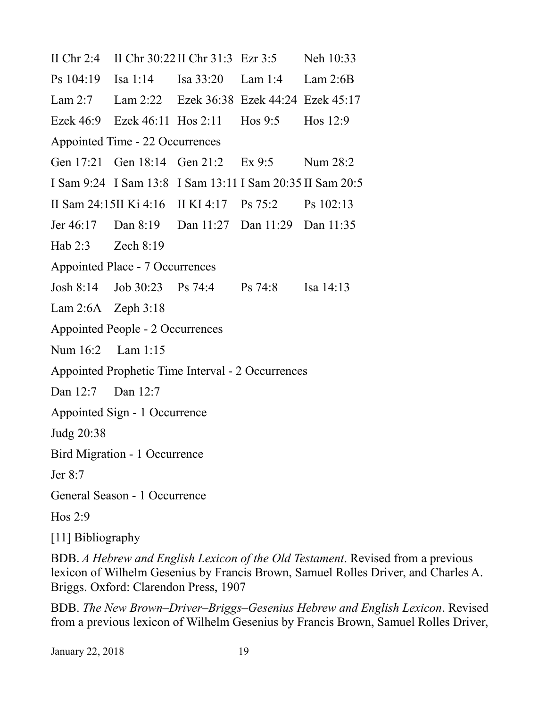|                                                   |                        |                                 | II Chr 2:4 II Chr 30:22 II Chr 31:3 Ezr 3:5 Neh 10:33     |           |            |  |  |
|---------------------------------------------------|------------------------|---------------------------------|-----------------------------------------------------------|-----------|------------|--|--|
|                                                   |                        |                                 | Ps 104:19 Isa 1:14 Isa 33:20 Lam 1:4 Lam 2:6B             |           |            |  |  |
|                                                   |                        |                                 | Lam 2:7 Lam 2:22 Ezek 36:38 Ezek 44:24 Ezek 45:17         |           |            |  |  |
|                                                   |                        |                                 | Ezek 46:9 Ezek 46:11 Hos 2:11                             | Hos $9:5$ | Hos $12:9$ |  |  |
|                                                   |                        | Appointed Time - 22 Occurrences |                                                           |           |            |  |  |
|                                                   |                        |                                 | Gen 17:21 Gen 18:14 Gen 21:2 Ex 9:5                       |           | Num 28:2   |  |  |
|                                                   |                        |                                 | I Sam 9:24 I Sam 13:8 I Sam 13:11 I Sam 20:35 II Sam 20:5 |           |            |  |  |
|                                                   |                        |                                 | II Sam 24:15II Ki 4:16 II KI 4:17 Ps 75:2 Ps 102:13       |           |            |  |  |
|                                                   |                        |                                 | Jer 46:17 Dan 8:19 Dan 11:27 Dan 11:29 Dan 11:35          |           |            |  |  |
|                                                   | Hab 2:3 Zech 8:19      |                                 |                                                           |           |            |  |  |
|                                                   |                        | Appointed Place - 7 Occurrences |                                                           |           |            |  |  |
|                                                   |                        |                                 | Josh 8:14 Job 30:23 Ps 74:4 Ps 74:8 Isa 14:13             |           |            |  |  |
|                                                   | Lam $2:6A$ Zeph $3:18$ |                                 |                                                           |           |            |  |  |
| Appointed People - 2 Occurrences                  |                        |                                 |                                                           |           |            |  |  |
|                                                   | Num 16:2 Lam 1:15      |                                 |                                                           |           |            |  |  |
| Appointed Prophetic Time Interval - 2 Occurrences |                        |                                 |                                                           |           |            |  |  |
| Dan 12:7 Dan 12:7                                 |                        |                                 |                                                           |           |            |  |  |
| Appointed Sign - 1 Occurrence                     |                        |                                 |                                                           |           |            |  |  |
| Judg 20:38                                        |                        |                                 |                                                           |           |            |  |  |
| Bird Migration - 1 Occurrence                     |                        |                                 |                                                           |           |            |  |  |
| Jer 8:7                                           |                        |                                 |                                                           |           |            |  |  |
| General Season - 1 Occurrence                     |                        |                                 |                                                           |           |            |  |  |
|                                                   |                        |                                 |                                                           |           |            |  |  |

Hos 2:9

[11] Bibliography

BDB. *A Hebrew and English Lexicon of the Old Testament*. Revised from a previous lexicon of Wilhelm Gesenius by Francis Brown, Samuel Rolles Driver, and Charles A. Briggs. Oxford: Clarendon Press, 1907

BDB. *The New Brown–Driver–Briggs–Gesenius Hebrew and English Lexicon*. Revised from a previous lexicon of Wilhelm Gesenius by Francis Brown, Samuel Rolles Driver,